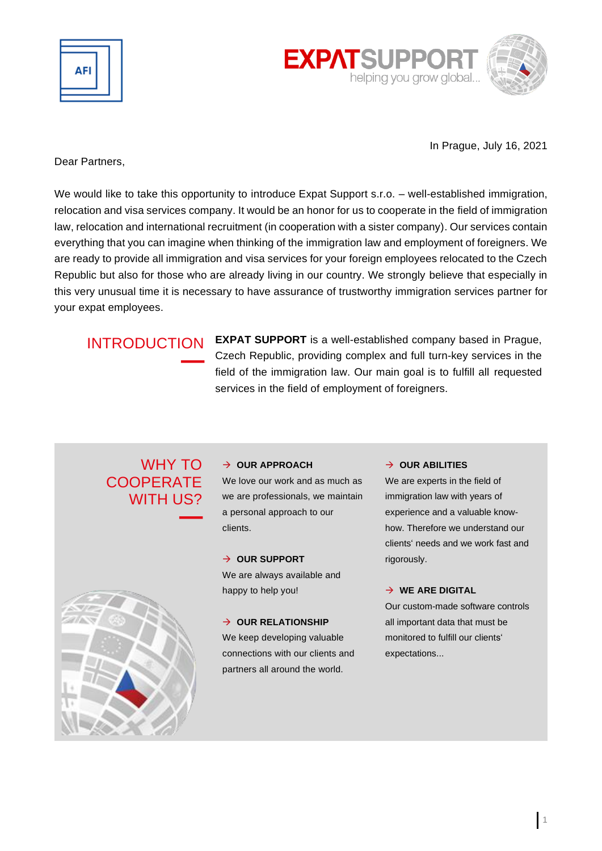





In Prague, July 16, 2021

### Dear Partners,

We would like to take this opportunity to introduce Expat Support s.r.o. - well-established immigration, relocation and visa services company. It would be an honor for us to cooperate in the field of immigration law, relocation and international recruitment (in cooperation with a sister company). Our services contain everything that you can imagine when thinking of the immigration law and employment of foreigners. We are ready to provide all immigration and visa services for your foreign employees relocated to the Czech Republic but also for those who are already living in our country. We strongly believe that especially in this very unusual time it is necessary to have assurance of trustworthy immigration services partner for your expat employees.

¯

¯

INTRODUCTION **EXPAT SUPPORT** is a well-established company based in Prague, Czech Republic, providing complex and full turn-key services in the field of the immigration law. Our main goal is to fulfill all requested services in the field of employment of foreigners.

# WHY TO **COOPERATE** WITH US?

#### → **OUR APPROACH**

We love our work and as much as we are professionals, we maintain a personal approach to our clients.

### → **OUR SUPPORT**

We are always available and happy to help you!

#### → **OUR RELATIONSHIP**

We keep developing valuable connections with our clients and partners all around the world.

#### → **OUR ABILITIES**

We are experts in the field of immigration law with years of experience and a valuable knowhow. Therefore we understand our clients' needs and we work fast and rigorously.

#### → **WE ARE DIGITAL**

Our custom-made software controls all important data that must be monitored to fulfill our clients' expectations...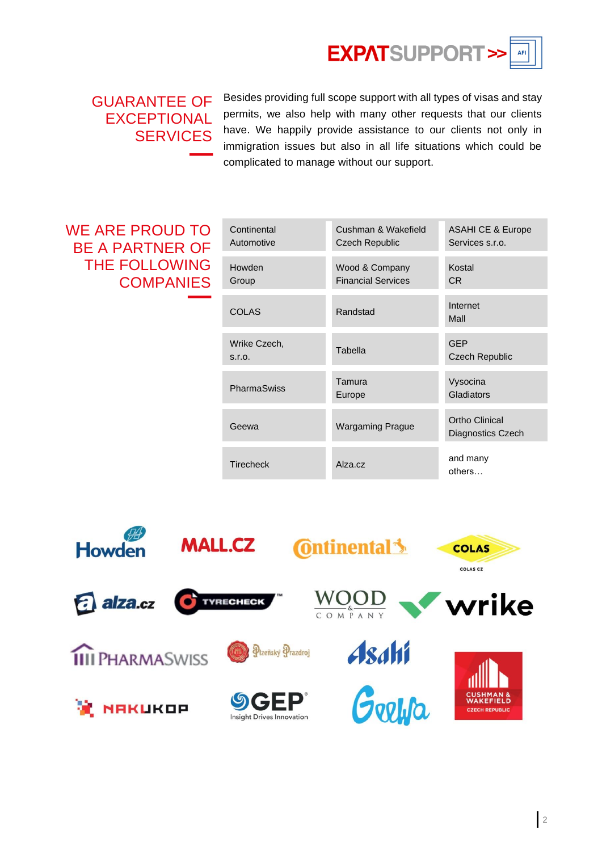

# GUARANTEE OF **EXCEPTIONAL SERVICES**

¯

¯

Besides providing full scope support with all types of visas and stay permits, we also help with many other requests that our clients have. We happily provide assistance to our clients not only in immigration issues but also in all life situations which could be complicated to manage without our support.

# WE ARE PROUD TO BE A PARTNER OF THE FOLLOWING **COMPANIES**

| Continental<br>Automotive | Cushman & Wakefield<br><b>Czech Republic</b> | <b>ASAHI CE &amp; Europe</b><br>Services s.r.o. |
|---------------------------|----------------------------------------------|-------------------------------------------------|
| Howden<br>Group           | Wood & Company<br><b>Financial Services</b>  | Kostal<br><b>CR</b>                             |
| <b>COLAS</b>              | Randstad                                     | Internet<br>Mall                                |
| Wrike Czech,<br>S.I.O.    | Tabella                                      | <b>GEP</b><br><b>Czech Republic</b>             |
| PharmaSwiss               | Tamura<br>Europe                             | Vysocina<br>Gladiators                          |
| Geewa                     | <b>Wargaming Prague</b>                      | Ortho Clinical<br>Diagnostics Czech             |
| <b>Tirecheck</b>          | Alza.cz                                      | and many<br>others                              |

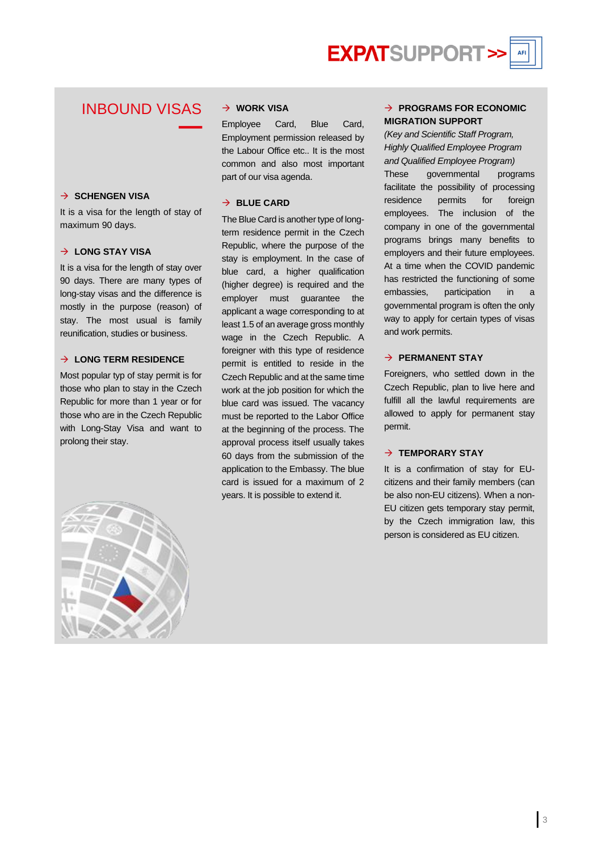**EXPATSUPPORT** 

## INBOUND VISAS

¯

#### → **SCHENGEN VISA**

It is a visa for the length of stay of maximum 90 days.

#### → **LONG STAY VISA**

It is a visa for the length of stay over 90 days. There are many types of long-stay visas and the difference is mostly in the purpose (reason) of stay. The most usual is family reunification, studies or business.

#### → **LONG TERM RESIDENCE**

Most popular typ of stay permit is for those who plan to stay in the Czech Republic for more than 1 year or for those who are in the Czech Republic with Long-Stay Visa and want to prolong their stay.



#### → **WORK VISA**

Employee Card, Blue Card, Employment permission released by the Labour Office etc.. It is the most common and also most important part of our visa agenda.

#### → **BLUE CARD**

The Blue Card is another type of longterm residence permit in the Czech Republic, where the purpose of the stay is employment. In the case of blue card, a higher qualification (higher degree) is required and the employer must guarantee the applicant a wage corresponding to at least 1.5 of an average gross monthly wage in the Czech Republic. A foreigner with this type of residence permit is entitled to reside in the Czech Republic and at the same time work at the job position for which the blue card was issued. The vacancy must be reported to the Labor Office at the beginning of the process. The approval process itself usually takes 60 days from the submission of the application to the Embassy. The blue card is issued for a maximum of 2 years. It is possible to extend it.

### → **PROGRAMS FOR ECONOMIC MIGRATION SUPPORT**

*(Key and Scientific Staff Program, Highly Qualified Employee Program and Qualified Employee Program)* These governmental programs facilitate the possibility of processing residence permits for foreign employees. The inclusion of the company in one of the governmental programs brings many benefits to employers and their future employees. At a time when the COVID pandemic has restricted the functioning of some embassies, participation in a governmental program is often the only way to apply for certain types of visas and work permits.

#### → **PERMANENT STAY**

Foreigners, who settled down in the Czech Republic, plan to live here and fulfill all the lawful requirements are allowed to apply for permanent stay permit.

#### → **TEMPORARY STAY**

It is a confirmation of stay for EUcitizens and their family members (can be also non-EU citizens). When a non-EU citizen gets temporary stay permit, by the Czech immigration law, this person is considered as EU citizen.